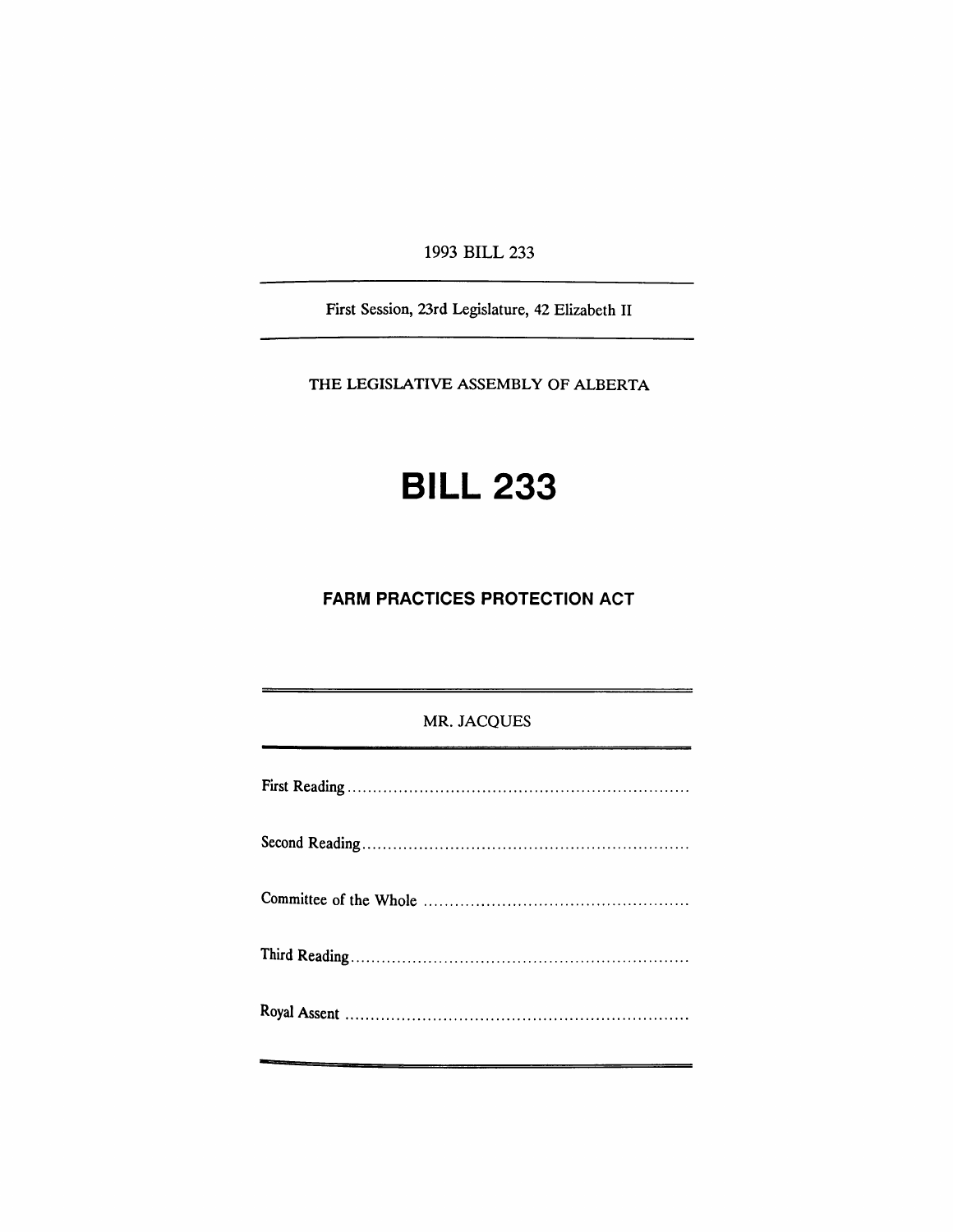1993 BILL 233

First Session, 23rd Legislature, 42 Elizabeth II

THE LEGISLATIVE ASSEMBLY OF ALBERTA

# **BILL 233**

## **FARM PRACTICES PROTECTION ACT**

### MR. JACQUES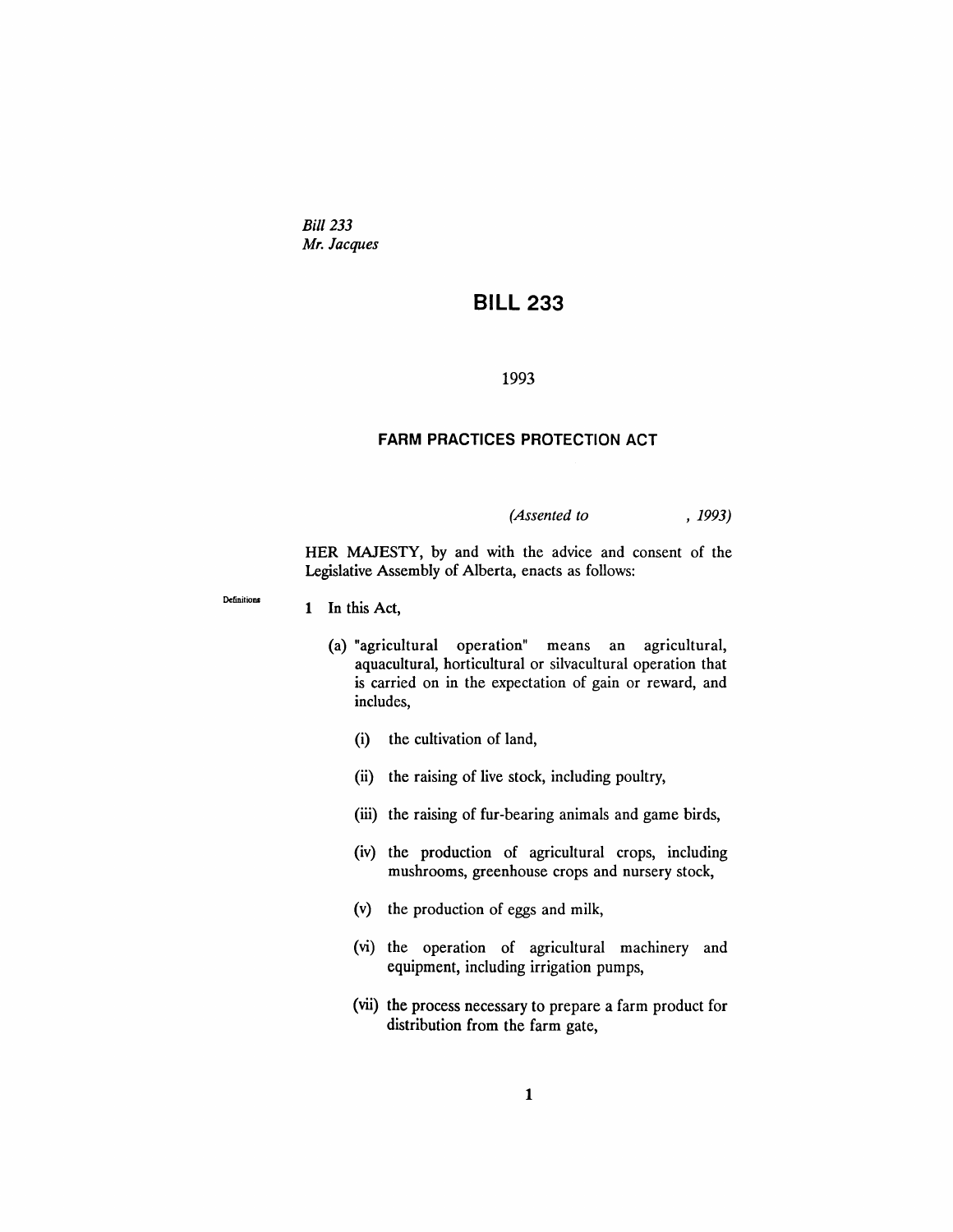*Bill 233 Mr. Jacques*

# **BILL 233**

#### 1993

#### **FARM PRACTICES PROTECTION ACT**

*(Assented to* , 1993)

HER MAJESTY, by and with the advice and consent of the Legislative Assembly of Alberta, enacts as follows:

Definitions

1 In this Act,

- (a) "agricultural operation" means an agricultural, aquacultural, horticultural or silvacultural operation that is carried on in the expectation of gain or reward, and includes,
	- (i) the cultivation of land,
	- (ii) the raising of live stock, including poultry,
	- (iii) the raising of fur-bearing animals and game birds,
	- (iv) the production of agricultural crops, including mushrooms, greenhouse crops and nursery stock,
	- (v) the production of eggs and milk,
	- (vi) the operation of agricultural machinery and equipment, including irrigation pumps,
	- (vii) the process necessary to prepare a farm product for distribution from the farm gate,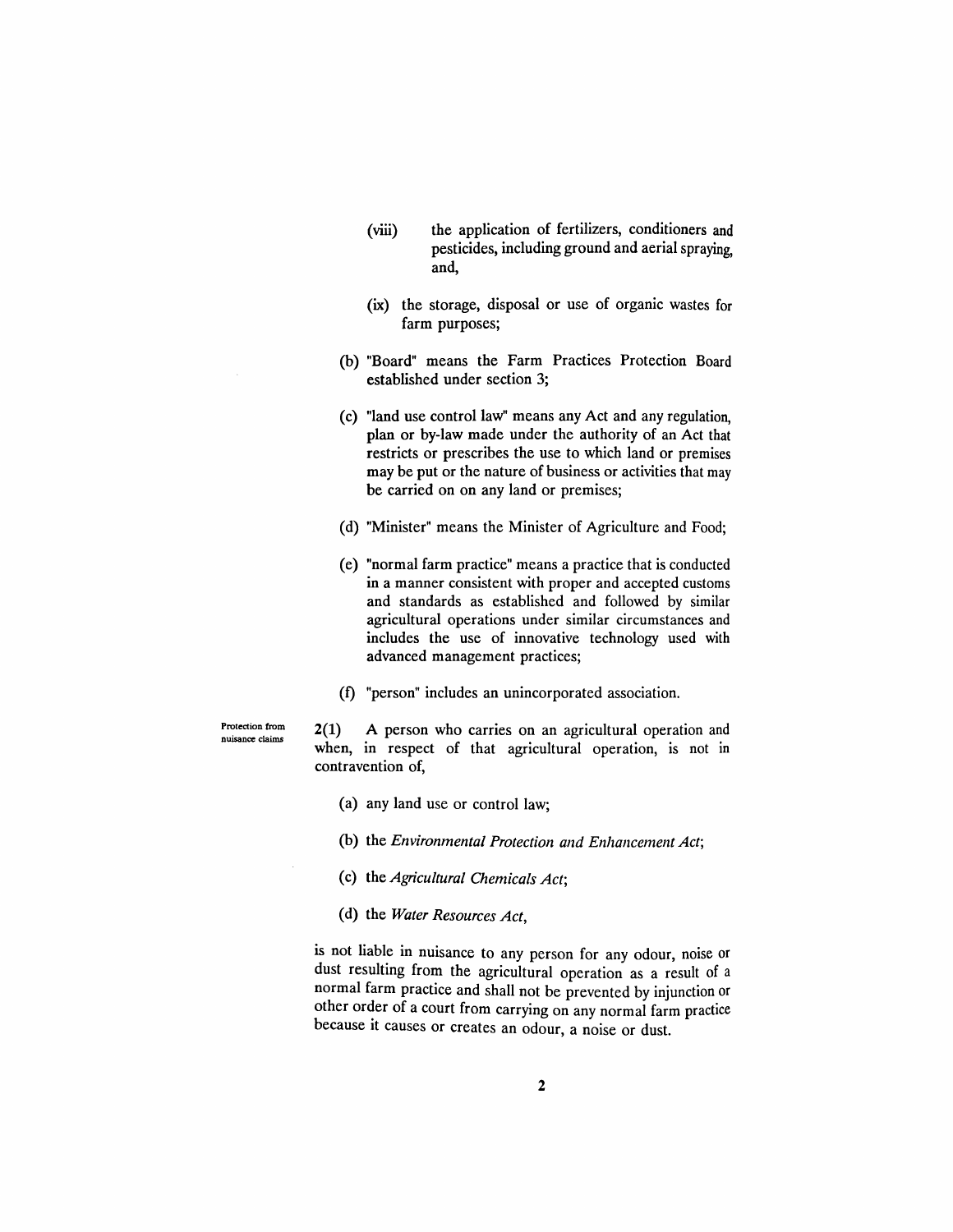- (viii) the application of fertilizers, conditioners and pesticides, including ground and aerial spraying, and,
- (ix) the storage, disposal or use of organic wastes for farm purposes;
- (b) "Board" means the Farm Practices Protection Board established under section 3;
- (c) "land use control law" means any Act and any regulation, plan or by-law made under the authority of an Act that restricts or prescribes the use to which land or premises may be put or the nature of business or activities that may be carried on on any land or premises;
- (d) "Minister" means the Minister of Agriculture and Food;
- (e) "normal farm practice" means a practice that is conducted in a manner consistent with proper and accepted customs and standards as established and followed by similar agricultural operations under similar circumstances and includes the use of innovative technology used with advanced management practices;
- (f) "person" includes an unincorporated association.

Protection from nuisance claims

2(1) A person who carries on an agricultural operation and when, in respect of that agricultural operation, is not in contravention of,

- (a) any land use or control law;
- (b) the *Environmental Protection and Enhancement Act;*
- (c) the *Agricultural Chemicals Act;*
- (d) the *Water Resources Act,*

is not liable in nuisance to any person for any odour, noise or dust resulting from the agricultural operation as a result of a normal farm practice and shall not be prevented by injunction or other order of a court from carrying on any normal farm practice because it causes or creates an odour, a noise or dust.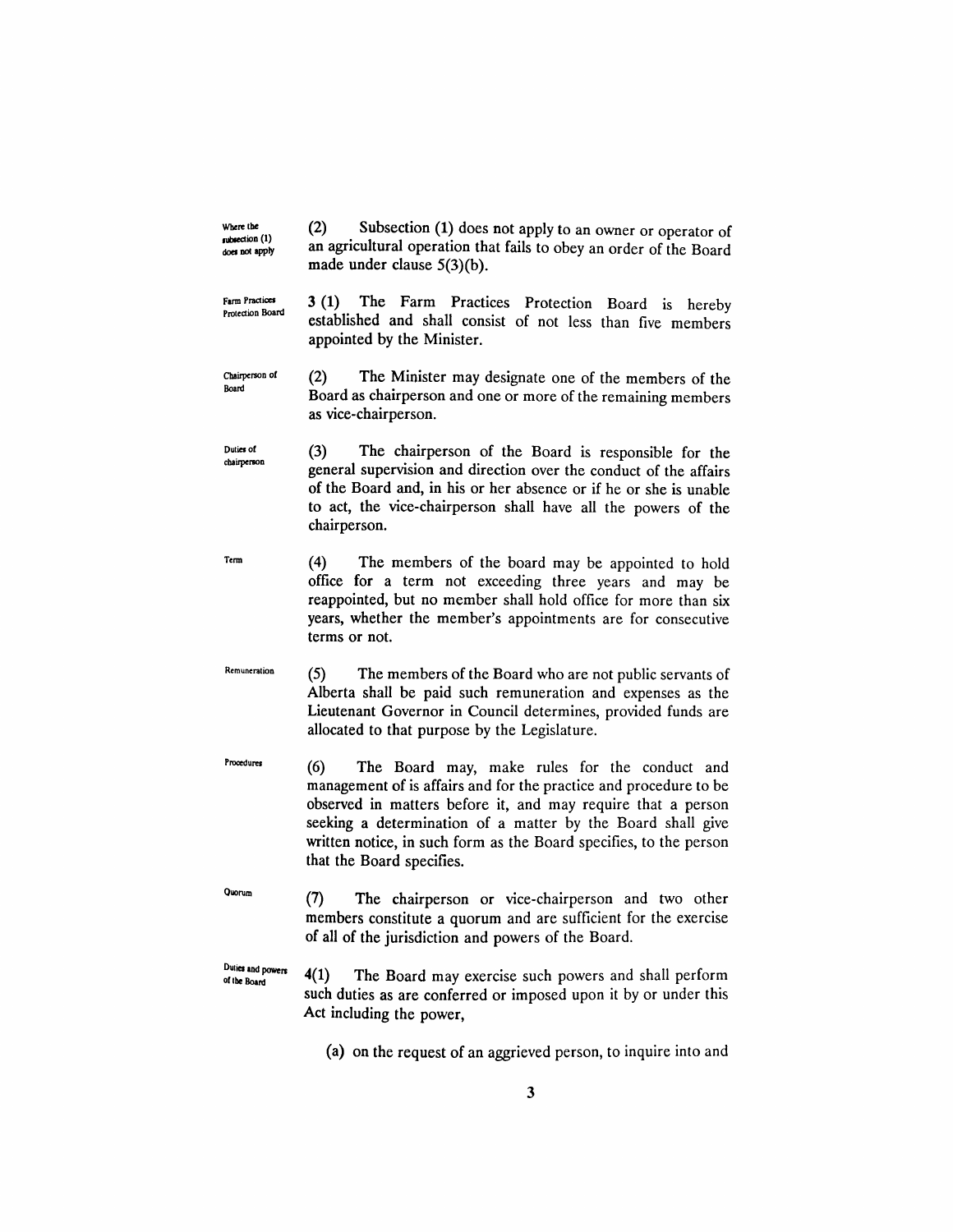subsection (1) does not apply (2) Subsection (1) does not apply to an owner or operator of an agricultural operation that fails to obey an order of the Board made under clause 5(3)(b).

Wbere tbe

Farm Practices Protection Board 3 (1) The Farm Practices Protection Board is hereby established and shall consist of not less than five members appointed by the Minister.

Chairperson of Board (2) The Minister may designate one of the members of the Board as chairperson and one or more of the remaining members as vice-chairperson.

Duties of chairperson (3) The chairperson of the Board is responsible for the general supervision and direction over the conduct of the affairs of the Board and, in his or her absence or if he or she is unable to act, the vice-chairperson shall have all the powers of the chairperson.

Term (4) The members of the board may be appointed to hold office for a term not exceeding three years and may be reappointed, but no member shall hold office for more than six years, whether the member's appointments are for consecutive terms or not.

Remuneration (5) The members of the Board who are not public servants of Alberta shall be paid such remuneration and expenses as the Lieutenant Governor in Council determines, provided funds are allocated to that purpose by the Legislature.

- **Proecture** (6) The Board may, make rules for the conduct and management of is affairs and for the practice and procedure to be observed in matters before it, and may require that a person seeking a determination of a matter by the Board shall give written notice, in such form as the Board specifies, to the person that the Board specifies.
- Quorum (7) The chairperson or vice-chairperson and two other members constitute a quorum and are sufficient for the exercise of all of the jurisdiction and powers of the Board.

Duties and powers of the Board 4(1) The Board may exercise such powers and shall perform such duties as are conferred or imposed upon it by or under this Act including the power,

(a) on the request of an aggrieved person, to inquire into and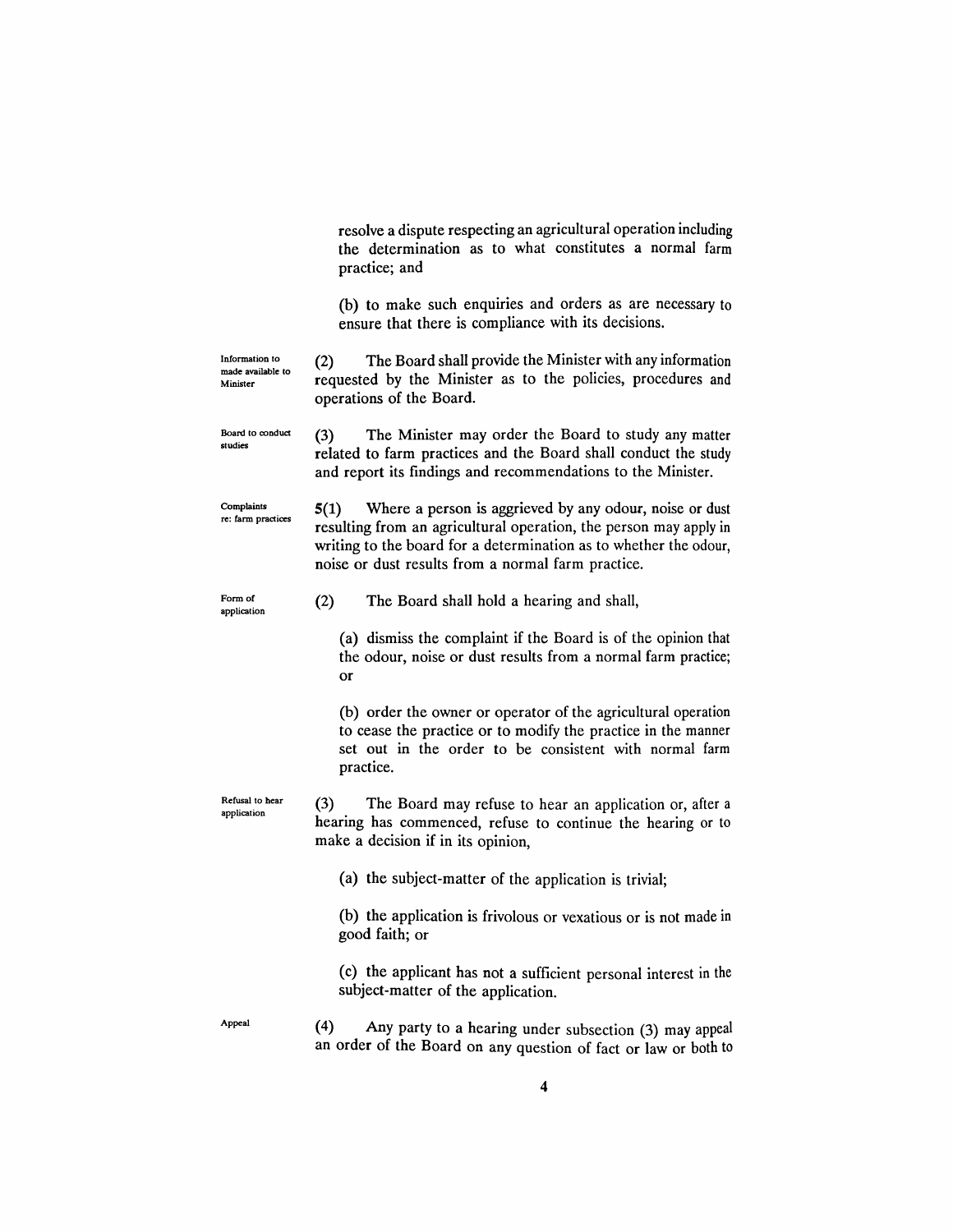resolve a dispute respecting an agricultural operation including the determination as to what constitutes a normal farm practice; and

(b) to make such enquiries and orders as are necessary to ensure that there is compliance with its decisions.

| Information to                | The Board shall provide the Minister with any information<br>(2) |
|-------------------------------|------------------------------------------------------------------|
| made available to<br>Minister | requested by the Minister as to the policies, procedures and     |
|                               | operations of the Board.                                         |

Board to conduct studies (3) The Minister may order the Board to study any matter related to farm practices and the Board shall conduct the study and report its findings and recommendations to the Minister.

Complaints re: farm practices 5(1) Where a person is aggrieved by any odour, noise or dust resulting from an agricultural operation, the person may apply in writing to the board for a determination as to whether the odour, noise or dust results from a normal farm practice.

Form of

Form of  $(2)$  The Board shall hold a hearing and shall,

(a) dismiss the complaint if the Board is of the opinion that the odour, noise or dust results from a normal farm practice; or

(b) order the owner or operator of the agricultural operation to cease the practice or to modify the practice in the manner set out in the order to be consistent with normal farm practice.

Refusal to hear application (3) The Board may refuse to hear an application or, after a hearing has commenced, refuse to continue the hearing or to make a decision if in its opinion,

(a) the subject-matter of the application is trivial;

(b) the application is frivolous or vexatious or is not made in good faith; or

(c) the applicant has not a sufficient personal interest in the subject-matter of the application.

Appeal (4) Any party to a hearing under subsection (3) may appeal an order of the Board on any question of fact or law or both to